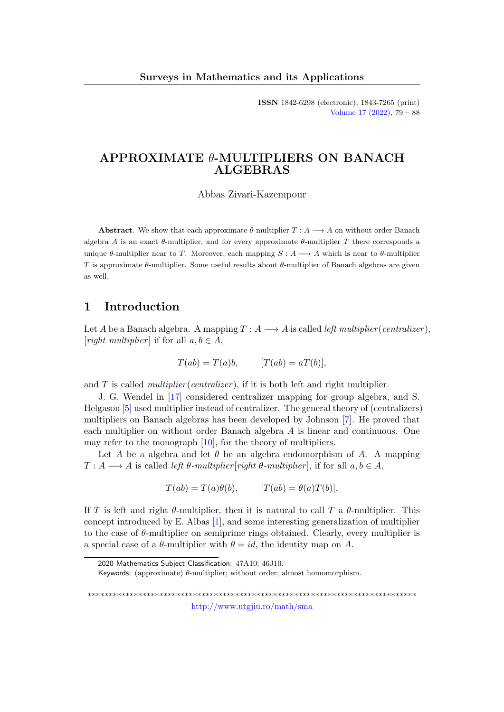ISSN 1842-6298 (electronic), 1843-7265 (print) [Volume 17 \(2022\),](http://www.utgjiu.ro/math/sma/v17/v17.html) 79 – 88

# APPROXIMATE θ-MULTIPLIERS ON BANACH ALGEBRAS

Abbas Zivari-Kazempour

**Abstract.** We show that each approximate  $\theta$ -multiplier  $T : A \longrightarrow A$  on without order Banach algebra A is an exact  $\theta$ -multiplier, and for every approximate  $\theta$ -multiplier T there corresponds a unique  $\theta$ -multiplier near to T. Moreover, each mapping  $S : A \longrightarrow A$  which is near to  $\theta$ -multiplier T is approximate  $\theta$ -multiplier. Some useful results about  $\theta$ -multiplier of Banach algebras are given as well.

## 1 Introduction

Let A be a Banach algebra. A mapping  $T: A \longrightarrow A$  is called left multiplier (centralizer), [right multiplier] if for all  $a, b \in A$ ,

$$
T(ab) = T(a)b, \qquad [T(ab) = aT(b)],
$$

and  $T$  is called *multiplier* (*centralizer*), if it is both left and right multiplier.

J. G. Wendel in [\[17\]](#page-9-0) considered centralizer mapping for group algebra, and S. Helgason [\[5\]](#page-8-0) used multiplier instead of centralizer. The general theory of (centralizers) multipliers on Banach algebras has been developed by Johnson [\[7\]](#page-8-1). He proved that each multiplier on without order Banach algebra A is linear and continuous. One may refer to the monograph [\[10\]](#page-8-2), for the theory of multipliers.

Let A be a algebra and let  $\theta$  be an algebra endomorphism of A. A mapping  $T: A \longrightarrow A$  is called left  $\theta$ -multiplier [right  $\theta$ -multiplier], if for all  $a, b \in A$ ,

$$
T(ab) = T(a)\theta(b), \qquad [T(ab) = \theta(a)T(b)].
$$

If T is left and right  $\theta$ -multiplier, then it is natural to call T a  $\theta$ -multiplier. This concept introduced by E. Albas [\[1\]](#page-8-3), and some interesting generalization of multiplier to the case of  $\theta$ -multiplier on semiprime rings obtained. Clearly, every multiplier is a special case of a  $\theta$ -multiplier with  $\theta = id$ , the identity map on A.

\*\*\*\*\*\*\*\*\*\*\*\*\*\*\*\*\*\*\*\*\*\*\*\*\*\*\*\*\*\*\*\*\*\*\*\*\*\*\*\*\*\*\*\*\*\*\*\*\*\*\*\*\*\*\*\*\*\*\*\*\*\*\*\*\*\*\*\*\*\*\*\*\*\*\*\*\*\* <http://www.utgjiu.ro/math/sma>

<sup>2020</sup> Mathematics Subject Classification: 47A10; 46J10.

Keywords: (approximate)  $\theta$ -multiplier; without order; almost homomorphism.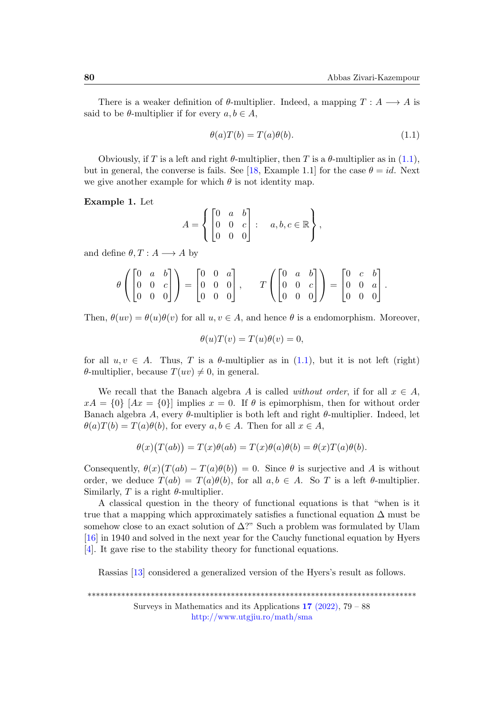There is a weaker definition of  $\theta$ -multiplier. Indeed, a mapping  $T : A \longrightarrow A$  is said to be  $\theta$ -multiplier if for every  $a, b \in A$ ,

<span id="page-1-0"></span>
$$
\theta(a)T(b) = T(a)\theta(b). \tag{1.1}
$$

Obviously, if T is a left and right  $\theta$ -multiplier, then T is a  $\theta$ -multiplier as in [\(1.1\)](#page-1-0), but in general, the converse is fails. See [\[18,](#page-9-1) Example 1.1] for the case  $\theta = id$ . Next we give another example for which  $\theta$  is not identity map.

Example 1. Let

$$
A = \left\{ \begin{bmatrix} 0 & a & b \\ 0 & 0 & c \\ 0 & 0 & 0 \end{bmatrix} : a, b, c \in \mathbb{R} \right\},\
$$

and define  $\theta, T : A \longrightarrow A$  by

$$
\theta\left(\begin{bmatrix} 0 & a & b \\ 0 & 0 & c \\ 0 & 0 & 0 \end{bmatrix}\right) = \begin{bmatrix} 0 & 0 & a \\ 0 & 0 & 0 \\ 0 & 0 & 0 \end{bmatrix}, \quad T\left(\begin{bmatrix} 0 & a & b \\ 0 & 0 & c \\ 0 & 0 & 0 \end{bmatrix}\right) = \begin{bmatrix} 0 & c & b \\ 0 & 0 & a \\ 0 & 0 & 0 \end{bmatrix}.
$$

Then,  $\theta(uv) = \theta(u)\theta(v)$  for all  $u, v \in A$ , and hence  $\theta$  is a endomorphism. Moreover,

$$
\theta(u)T(v) = T(u)\theta(v) = 0,
$$

for all  $u, v \in A$ . Thus, T is a  $\theta$ -multiplier as in [\(1.1\)](#page-1-0), but it is not left (right)  $\theta$ -multiplier, because  $T(uv) \neq 0$ , in general.

We recall that the Banach algebra A is called *without order*, if for all  $x \in A$ ,  $xA = \{0\}$  [Ax =  $\{0\}$ ] implies  $x = 0$ . If  $\theta$  is epimorphism, then for without order Banach algebra A, every  $\theta$ -multiplier is both left and right  $\theta$ -multiplier. Indeed, let  $\theta(a)T(b) = T(a)\theta(b)$ , for every  $a, b \in A$ . Then for all  $x \in A$ ,

$$
\theta(x)\big(T(ab)\big) = T(x)\theta(ab) = T(x)\theta(a)\theta(b) = \theta(x)T(a)\theta(b).
$$

Consequently,  $\theta(x)(T(ab) - T(a)\theta(b)) = 0$ . Since  $\theta$  is surjective and A is without order, we deduce  $T(ab) = T(a)\theta(b)$ , for all  $a, b \in A$ . So T is a left  $\theta$ -multiplier. Similarly, T is a right  $\theta$ -multiplier.

A classical question in the theory of functional equations is that "when is it true that a mapping which approximately satisfies a functional equation  $\Delta$  must be somehow close to an exact solution of  $\Delta$ ?" Such a problem was formulated by Ulam [\[16\]](#page-9-2) in 1940 and solved in the next year for the Cauchy functional equation by Hyers [\[4\]](#page-8-4). It gave rise to the stability theory for functional equations.

Rassias [\[13\]](#page-9-3) considered a generalized version of the Hyers's result as follows.

\*\*\*\*\*\*\*\*\*\*\*\*\*\*\*\*\*\*\*\*\*\*\*\*\*\*\*\*\*\*\*\*\*\*\*\*\*\*\*\*\*\*\*\*\*\*\*\*\*\*\*\*\*\*\*\*\*\*\*\*\*\*\*\*\*\*\*\*\*\*\*\*\*\*\*\*\*\*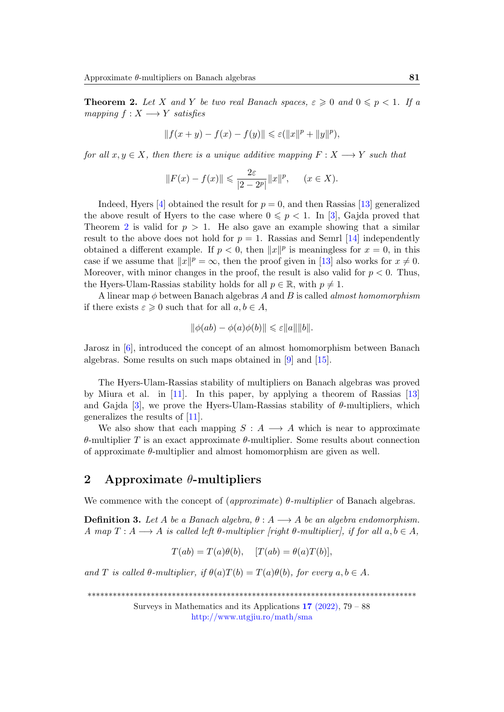<span id="page-2-0"></span>**Theorem 2.** Let X and Y be two real Banach spaces,  $\varepsilon \geq 0$  and  $0 \leq p < 1$ . If a mapping  $f: X \longrightarrow Y$  satisfies

$$
||f(x + y) - f(x) - f(y)|| \leq \varepsilon (||x||^{p} + ||y||^{p}),
$$

for all  $x, y \in X$ , then there is a unique additive mapping  $F: X \longrightarrow Y$  such that

$$
||F(x) - f(x)|| \leqslant \frac{2\varepsilon}{|2 - 2^p|} ||x||^p, \quad (x \in X).
$$

Indeed, Hyers [\[4\]](#page-8-4) obtained the result for  $p = 0$ , and then Rassias [\[13\]](#page-9-3) generalized the above result of Hyers to the case where  $0 \leq p < 1$ . In [\[3\]](#page-8-5), Gajda proved that Theorem [2](#page-2-0) is valid for  $p > 1$ . He also gave an example showing that a similar result to the above does not hold for  $p = 1$ . Rassias and Semrl [\[14\]](#page-9-4) independently obtained a different example. If  $p < 0$ , then  $||x||^p$  is meaningless for  $x = 0$ , in this case if we assume that  $||x||^p = \infty$ , then the proof given in [\[13\]](#page-9-3) also works for  $x \neq 0$ . Moreover, with minor changes in the proof, the result is also valid for  $p < 0$ . Thus, the Hyers-Ulam-Rassias stability holds for all  $p \in \mathbb{R}$ , with  $p \neq 1$ .

A linear map  $\phi$  between Banach algebras A and B is called *almost homomorphism* if there exists  $\varepsilon \geqslant 0$  such that for all  $a, b \in A$ ,

$$
\|\phi(ab) - \phi(a)\phi(b)\| \leq \varepsilon \|a\| \|b\|.
$$

Jarosz in [\[6\]](#page-8-6), introduced the concept of an almost homomorphism between Banach algebras. Some results on such maps obtained in [\[9\]](#page-8-7) and [\[15\]](#page-9-5).

The Hyers-Ulam-Rassias stability of multipliers on Banach algebras was proved by Miura et al. in [\[11\]](#page-9-6). In this paper, by applying a theorem of Rassias [\[13\]](#page-9-3) and Gajda [\[3\]](#page-8-5), we prove the Hyers-Ulam-Rassias stability of  $\theta$ -multipliers, which generalizes the results of [\[11\]](#page-9-6).

We also show that each mapping  $S : A \longrightarrow A$  which is near to approximate θ-multiplier T is an exact approximate θ-multiplier. Some results about connection of approximate  $\theta$ -multiplier and almost homomorphism are given as well.

## 2 Approximate  $\theta$ -multipliers

We commence with the concept of  $\langle \textit{approximate} \rangle \theta$ -multiplier of Banach algebras.

**Definition 3.** Let A be a Banach algebra,  $\theta : A \longrightarrow A$  be an algebra endomorphism. A map  $T: A \longrightarrow A$  is called left  $\theta$ -multiplier [right  $\theta$ -multiplier], if for all  $a, b \in A$ ,

 $T(ab) = T(a)\theta(b), \quad [T(ab) = \theta(a)T(b)],$ 

and T is called  $\theta$ -multiplier, if  $\theta(a)T(b) = T(a)\theta(b)$ , for every  $a, b \in A$ .

\*\*\*\*\*\*\*\*\*\*\*\*\*\*\*\*\*\*\*\*\*\*\*\*\*\*\*\*\*\*\*\*\*\*\*\*\*\*\*\*\*\*\*\*\*\*\*\*\*\*\*\*\*\*\*\*\*\*\*\*\*\*\*\*\*\*\*\*\*\*\*\*\*\*\*\*\*\*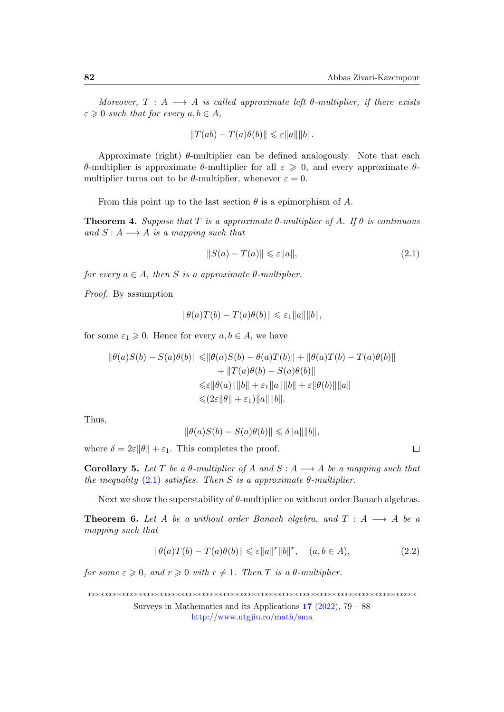Moreover,  $T : A \longrightarrow A$  is called approximate left  $\theta$ -multiplier, if there exists  $\varepsilon \geqslant 0$  such that for every  $a, b \in A$ ,

$$
||T(ab) - T(a)\theta(b)|| \leq \varepsilon ||a|| ||b||.
$$

Approximate (right)  $\theta$ -multiplier can be defined analogously. Note that each θ-multiplier is approximate θ-multiplier for all ε ⩾ 0, and every approximate θmultiplier turns out to be  $\theta$ -multiplier, whenever  $\varepsilon = 0$ .

From this point up to the last section  $\theta$  is a epimorphism of A.

**Theorem 4.** Suppose that T is a approximate  $\theta$ -multiplier of A. If  $\theta$  is continuous and  $S: A \longrightarrow A$  is a mapping such that

<span id="page-3-0"></span>
$$
||S(a) - T(a)|| \leq \varepsilon ||a||,\tag{2.1}
$$

for every  $a \in A$ , then S is a approximate  $\theta$ -multiplier.

Proof. By assumption

$$
\|\theta(a)T(b) - T(a)\theta(b)\| \leq \varepsilon_1 \|a\| \|b\|,
$$

for some  $\varepsilon_1 \geq 0$ . Hence for every  $a, b \in A$ , we have

$$
\|\theta(a)S(b) - S(a)\theta(b)\| \le \|\theta(a)S(b) - \theta(a)T(b)\| + \|\theta(a)T(b) - T(a)\theta(b)\|
$$
  
+ 
$$
\|T(a)\theta(b) - S(a)\theta(b)\|
$$
  

$$
\le \varepsilon \|\theta(a)\|\|b\| + \varepsilon_1 \|a\|\|b\| + \varepsilon \|\theta(b)\|\|a\|
$$
  

$$
\le (2\varepsilon \|\theta\| + \varepsilon_1) \|a\|\|b\|.
$$

Thus,

$$
\|\theta(a)S(b) - S(a)\theta(b)\| \leq \delta \|a\| \|b\|,
$$

where  $\delta = 2\varepsilon \|\theta\| + \varepsilon_1$ . This completes the proof.

**Corollary 5.** Let T be a  $\theta$ -multiplier of A and  $S : A \longrightarrow A$  be a mapping such that the inequality  $(2.1)$  satisfies. Then S is a approximate  $\theta$ -multiplier.

Next we show the superstability of  $\theta$ -multiplier on without order Banach algebras.

<span id="page-3-2"></span>**Theorem 6.** Let A be a without order Banach algebra, and  $T : A \longrightarrow A$  be a mapping such that

<span id="page-3-1"></span>
$$
\|\theta(a)T(b) - T(a)\theta(b)\| \leq \varepsilon \|a\|^r \|b\|^r, \quad (a, b \in A),\tag{2.2}
$$

for some  $\varepsilon \geqslant 0$ , and  $r \geqslant 0$  with  $r \neq 1$ . Then T is a  $\theta$ -multiplier.

\*\*\*\*\*\*\*\*\*\*\*\*\*\*\*\*\*\*\*\*\*\*\*\*\*\*\*\*\*\*\*\*\*\*\*\*\*\*\*\*\*\*\*\*\*\*\*\*\*\*\*\*\*\*\*\*\*\*\*\*\*\*\*\*\*\*\*\*\*\*\*\*\*\*\*\*\*\*

Surveys in Mathematics and its Applications  $17$  [\(2022\),](http://www.utgjiu.ro/math/sma/v17/v17.html) 79 – 88 <http://www.utgjiu.ro/math/sma>

 $\Box$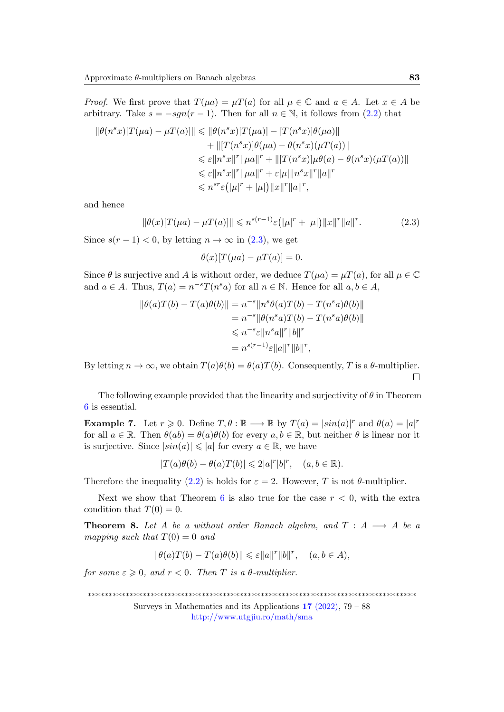*Proof.* We first prove that  $T(\mu a) = \mu T(a)$  for all  $\mu \in \mathbb{C}$  and  $a \in A$ . Let  $x \in A$  be arbitrary. Take  $s = -sgn(r-1)$ . Then for all  $n \in \mathbb{N}$ , it follows from [\(2.2\)](#page-3-1) that

$$
\|\theta(n^sx)[T(\mu a) - \mu T(a)]\| \le \|\theta(n^sx)[T(\mu a)] - [T(n^sx)]\theta(\mu a)\| + \| [T(n^sx)]\theta(\mu a) - \theta(n^sx)(\mu T(a))\| \le \varepsilon \|n^sx\|^r \|\mu a\|^r + \| [T(n^sx)]\mu\theta(a) - \theta(n^sx)(\mu T(a))\| \le \varepsilon \|n^sx\|^r \|\mu a\|^r + \varepsilon |\mu| \|n^sx\|^r \|a\|^r \le n^{sr}\varepsilon (|\mu|^r + |\mu|) \|x\|^r \|a\|^r,
$$

and hence

<span id="page-4-0"></span>
$$
\|\theta(x)[T(\mu a) - \mu T(a)]\| \leqslant n^{s(r-1)} \varepsilon (|\mu|^r + |\mu|) \|x\|^r \|a\|^r. \tag{2.3}
$$

Since  $s(r-1) < 0$ , by letting  $n \to \infty$  in [\(2.3\)](#page-4-0), we get

 $\theta(x)[T(\mu a) - \mu T(a)] = 0.$ 

Since  $\theta$  is surjective and A is without order, we deduce  $T(\mu a) = \mu T(a)$ , for all  $\mu \in \mathbb{C}$ and  $a \in A$ . Thus,  $T(a) = n^{-s}T(n^s a)$  for all  $n \in \mathbb{N}$ . Hence for all  $a, b \in A$ ,

$$
\|\theta(a)T(b) - T(a)\theta(b)\| = n^{-s} \|n^{s}\theta(a)T(b) - T(n^{s}a)\theta(b)\|
$$
  
=  $n^{-s} \|\theta(n^{s}a)T(b) - T(n^{s}a)\theta(b)\|$   
 $\le n^{-s}\varepsilon \|n^{s}a\|^{r} \|b\|^{r}$   
=  $n^{s(r-1)}\varepsilon \|a\|^{r} \|b\|^{r}$ ,

By letting  $n \to \infty$ , we obtain  $T(a)\theta(b) = \theta(a)T(b)$ . Consequently, T is a  $\theta$ -multiplier.  $\Box$ 

The following example provided that the linearity and surjectivity of  $\theta$  in Theorem [6](#page-3-2) is essential.

**Example 7.** Let  $r \ge 0$ . Define  $T, \theta : \mathbb{R} \longrightarrow \mathbb{R}$  by  $T(a) = |\sin(a)|^r$  and  $\theta(a) = |a|^r$ for all  $a \in \mathbb{R}$ . Then  $\theta(ab) = \theta(a)\theta(b)$  for every  $a, b \in \mathbb{R}$ , but neither  $\theta$  is linear nor it is surjective. Since  $|\sin(a)| \leqslant |a|$  for every  $a \in \mathbb{R}$ , we have

$$
|T(a)\theta(b) - \theta(a)T(b)| \leq 2|a|^r|b|^r, \quad (a, b \in \mathbb{R}).
$$

Therefore the inequality [\(2.2\)](#page-3-1) is holds for  $\varepsilon = 2$ . However, T is not  $\theta$ -multiplier.

Next we show that Theorem [6](#page-3-2) is also true for the case  $r < 0$ , with the extra condition that  $T(0) = 0$ .

**Theorem 8.** Let A be a without order Banach algebra, and  $T : A \longrightarrow A$  be a mapping such that  $T(0) = 0$  and

$$
\|\theta(a)T(b) - T(a)\theta(b)\| \leq \varepsilon \|a\|^r \|b\|^r, \quad (a, b \in A),
$$

for some  $\varepsilon \geqslant 0$ , and  $r < 0$ . Then T is a  $\theta$ -multiplier.

<sup>\*\*\*\*\*\*\*\*\*\*\*\*\*\*\*\*\*\*\*\*\*\*\*\*\*\*\*\*\*\*\*\*\*\*\*\*\*\*\*\*\*\*\*\*\*\*\*\*\*\*\*\*\*\*\*\*\*\*\*\*\*\*\*\*\*\*\*\*\*\*\*\*\*\*\*\*\*\*</sup>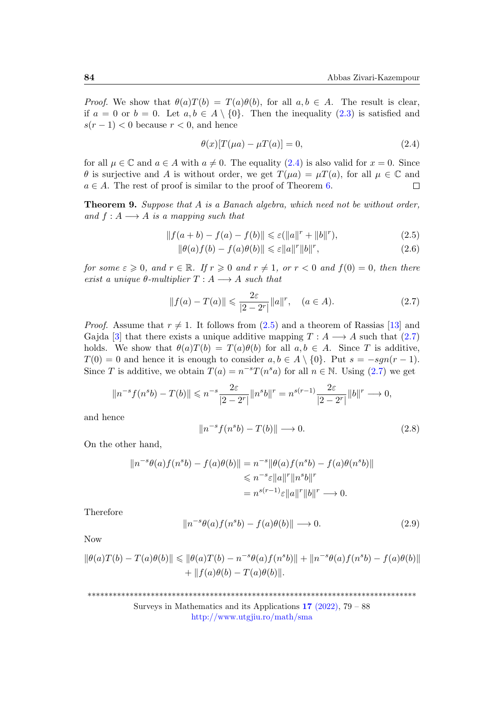*Proof.* We show that  $\theta(a)T(b) = T(a)\theta(b)$ , for all  $a, b \in A$ . The result is clear, if  $a = 0$  or  $b = 0$ . Let  $a, b \in A \setminus \{0\}$ . Then the inequality  $(2.3)$  is satisfied and  $s(r-1)$  < 0 because  $r < 0$ , and hence

<span id="page-5-1"></span><span id="page-5-0"></span>
$$
\theta(x)[T(\mu a) - \mu T(a)] = 0,\t(2.4)
$$

for all  $\mu \in \mathbb{C}$  and  $a \in A$  with  $a \neq 0$ . The equality [\(2.4\)](#page-5-0) is also valid for  $x = 0$ . Since  $\theta$  is surjective and A is without order, we get  $T(\mu a) = \mu T(a)$ , for all  $\mu \in \mathbb{C}$  and  $a \in A$ . The rest of proof is similar to the proof of Theorem [6.](#page-3-2)  $\Box$ 

**Theorem 9.** Suppose that  $A$  is a Banach algebra, which need not be without order, and  $f: A \longrightarrow A$  is a mapping such that

$$
||f(a+b) - f(a) - f(b)|| \le \varepsilon (||a||r + ||b||r),
$$
\n(2.5)

$$
\|\theta(a)f(b) - f(a)\theta(b)\| \leq \varepsilon \|a\|^{r} \|b\|^{r},\tag{2.6}
$$

for some  $\varepsilon \geqslant 0$ , and  $r \in \mathbb{R}$ . If  $r \geqslant 0$  and  $r \neq 1$ , or  $r < 0$  and  $f(0) = 0$ , then there exist a unique  $\theta$ -multiplier  $T : A \longrightarrow A$  such that

<span id="page-5-2"></span>
$$
||f(a) - T(a)|| \leq \frac{2\varepsilon}{|2 - 2^r|} ||a||^r, \quad (a \in A).
$$
 (2.7)

*Proof.* Assume that  $r \neq 1$ . It follows from  $(2.5)$  and a theorem of Rassias [\[13\]](#page-9-3) and Gajda [\[3\]](#page-8-5) that there exists a unique additive mapping  $T : A \longrightarrow A$  such that [\(2.7\)](#page-5-2) holds. We show that  $\theta(a)T(b) = T(a)\theta(b)$  for all  $a, b \in A$ . Since T is additive,  $T(0) = 0$  and hence it is enough to consider  $a, b \in A \setminus \{0\}$ . Put  $s = -sgn(r-1)$ . Since T is additive, we obtain  $T(a) = n^{-s}T(n^s a)$  for all  $n \in \mathbb{N}$ . Using [\(2.7\)](#page-5-2) we get

$$
||n^{-s} f(n^{s} b) - T(b)|| \le n^{-s} \frac{2\varepsilon}{|2 - 2^{r}|} ||n^{s} b||^{r} = n^{s(r-1)} \frac{2\varepsilon}{|2 - 2^{r}|} ||b||^{r} \longrightarrow 0,
$$

and hence

<span id="page-5-3"></span>
$$
||n^{-s}f(n^{s}b) - T(b)|| \longrightarrow 0. \tag{2.8}
$$

On the other hand,

$$
||n^{-s}\theta(a)f(n^{s}b) - f(a)\theta(b)|| = n^{-s}||\theta(a)f(n^{s}b) - f(a)\theta(n^{s}b)||
$$
  
\n
$$
\leq n^{-s}\varepsilon ||a||^{r}||n^{s}b||^{r}
$$
  
\n
$$
= n^{s(r-1)}\varepsilon ||a||^{r}||b||^{r} \longrightarrow 0.
$$

Therefore

<span id="page-5-4"></span>
$$
||n^{-s}\theta(a)f(n^{s}b) - f(a)\theta(b)|| \longrightarrow 0.
$$
 (2.9)

Now

$$
\|\theta(a)T(b) - T(a)\theta(b)\| \le \|\theta(a)T(b) - n^{-s}\theta(a)f(n^{s}b)\| + \|n^{-s}\theta(a)f(n^{s}b) - f(a)\theta(b)\| + \|f(a)\theta(b) - T(a)\theta(b)\|.
$$

\*\*\*\*\*\*\*\*\*\*\*\*\*\*\*\*\*\*\*\*\*\*\*\*\*\*\*\*\*\*\*\*\*\*\*\*\*\*\*\*\*\*\*\*\*\*\*\*\*\*\*\*\*\*\*\*\*\*\*\*\*\*\*\*\*\*\*\*\*\*\*\*\*\*\*\*\*\*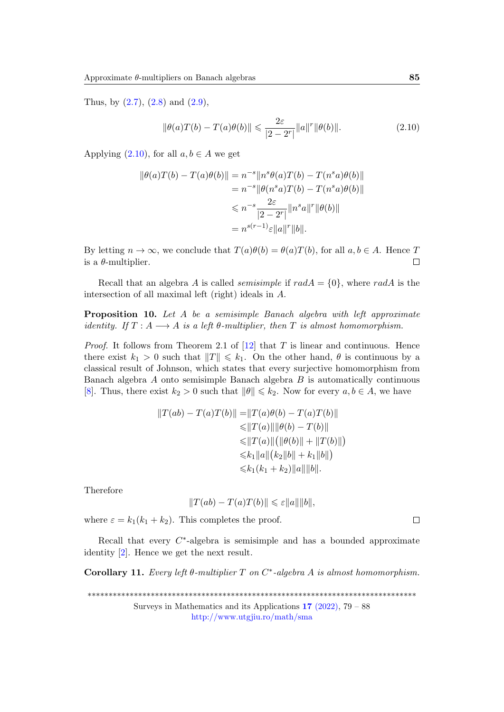Thus, by  $(2.7)$ ,  $(2.8)$  and  $(2.9)$ ,

<span id="page-6-0"></span>
$$
\|\theta(a)T(b) - T(a)\theta(b)\| \leq \frac{2\varepsilon}{|2 - 2^r|} \|a\|^r \|\theta(b)\|.
$$
 (2.10)

Applying  $(2.10)$ , for all  $a, b \in A$  we get

$$
\|\theta(a)T(b) - T(a)\theta(b)\| = n^{-s} \|n^{s}\theta(a)T(b) - T(n^{s}a)\theta(b)\|
$$
  
=  $n^{-s} \|\theta(n^{s}a)T(b) - T(n^{s}a)\theta(b)\|$   
 $\leq n^{-s} \frac{2\varepsilon}{|2 - 2^{r}|} \|n^{s}a\|^{r} \|\theta(b)\|$   
=  $n^{s(r-1)}\varepsilon \|a\|^{r} \|b\|.$ 

By letting  $n \to \infty$ , we conclude that  $T(a)\theta(b) = \theta(a)T(b)$ , for all  $a, b \in A$ . Hence T is a  $\theta$ -multiplier.  $\Box$ 

Recall that an algebra A is called *semisimple* if  $radA = \{0\}$ , where  $radA$  is the intersection of all maximal left (right) ideals in A.

Proposition 10. Let A be a semisimple Banach algebra with left approximate identity. If  $T : A \longrightarrow A$  is a left  $\theta$ -multiplier, then  $T$  is almost homomorphism.

*Proof.* It follows from Theorem 2.1 of  $[12]$  that T is linear and continuous. Hence there exist  $k_1 > 0$  such that  $||T|| \leq k_1$ . On the other hand,  $\theta$  is continuous by a classical result of Johnson, which states that every surjective homomorphism from Banach algebra  $A$  onto semisimple Banach algebra  $B$  is automatically continuous [\[8\]](#page-8-8). Thus, there exist  $k_2 > 0$  such that  $\|\theta\| \leq k_2$ . Now for every  $a, b \in A$ , we have

$$
||T(ab) - T(a)T(b)|| = ||T(a)\theta(b) - T(a)T(b)||
$$
  
\n
$$
\leq ||T(a)|| ||\theta(b) - T(b)||
$$
  
\n
$$
\leq ||T(a)|| (||\theta(b)|| + ||T(b)||)
$$
  
\n
$$
\leq k_1 ||a|| (k_2 ||b|| + k_1 ||b||)
$$
  
\n
$$
\leq k_1 (k_1 + k_2) ||a|| ||b||.
$$

Therefore

$$
||T(ab) - T(a)T(b)|| \leq \varepsilon ||a|| ||b||,
$$

where  $\varepsilon = k_1(k_1 + k_2)$ . This completes the proof.

Recall that every  $C^*$ -algebra is semisimple and has a bounded approximate identity [\[2\]](#page-8-9). Hence we get the next result.

Corollary 11. Every left  $\theta$ -multiplier T on  $C^*$ -algebra A is almost homomorphism.

\*\*\*\*\*\*\*\*\*\*\*\*\*\*\*\*\*\*\*\*\*\*\*\*\*\*\*\*\*\*\*\*\*\*\*\*\*\*\*\*\*\*\*\*\*\*\*\*\*\*\*\*\*\*\*\*\*\*\*\*\*\*\*\*\*\*\*\*\*\*\*\*\*\*\*\*\*\*

Surveys in Mathematics and its Applications  $17$  [\(2022\),](http://www.utgjiu.ro/math/sma/v17/v17.html) 79 – 88 <http://www.utgjiu.ro/math/sma>

 $\Box$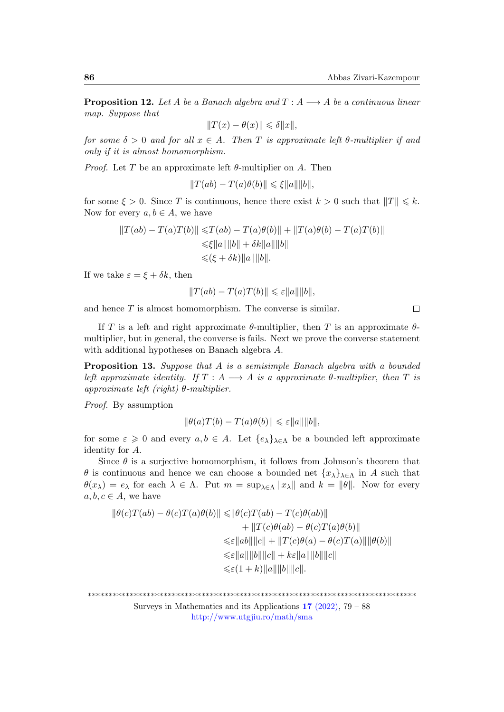**Proposition 12.** Let A be a Banach algebra and  $T : A \longrightarrow A$  be a continuous linear map. Suppose that

$$
\|T(x)-\theta(x)\|\leqslant \delta \|x\|,
$$

for some  $\delta > 0$  and for all  $x \in A$ . Then T is approximate left  $\theta$ -multiplier if and only if it is almost homomorphism.

*Proof.* Let T be an approximate left  $\theta$ -multiplier on A. Then

 $||T(ab) - T(a)\theta(b)|| \leq \xi ||a|| ||b||,$ 

for some  $\xi > 0$ . Since T is continuous, hence there exist  $k > 0$  such that  $||T|| \leq k$ . Now for every  $a, b \in A$ , we have

$$
||T(ab) - T(a)T(b)|| \le T(ab) - T(a)\theta(b)|| + ||T(a)\theta(b) - T(a)T(b)||
$$
  

$$
\le \xi ||a|| ||b|| + \delta k ||a|| ||b||
$$
  

$$
\le (\xi + \delta k) ||a|| ||b||.
$$

If we take  $\varepsilon = \xi + \delta k$ , then

$$
||T(ab) - T(a)T(b)|| \leq \varepsilon ||a|| ||b||,
$$

and hence  $T$  is almost homomorphism. The converse is similar.

 $\Box$ 

If T is a left and right approximate  $\theta$ -multiplier, then T is an approximate  $\theta$ multiplier, but in general, the converse is fails. Next we prove the converse statement with additional hypotheses on Banach algebra A.

Proposition 13. Suppose that A is a semisimple Banach algebra with a bounded left approximate identity. If  $T : A \longrightarrow A$  is a approximate  $\theta$ -multiplier, then  $T$  is approximate left (right)  $\theta$ -multiplier.

Proof. By assumption

$$
\|\theta(a)T(b) - T(a)\theta(b)\| \leq \varepsilon \|a\| \|b\|,
$$

for some  $\varepsilon \geq 0$  and every  $a, b \in A$ . Let  $\{e_{\lambda}\}_{\lambda \in \Lambda}$  be a bounded left approximate identity for A.

Since  $\theta$  is a surjective homomorphism, it follows from Johnson's theorem that  $\theta$  is continuous and hence we can choose a bounded net  $\{x_{\lambda}\}_{\lambda\in\Lambda}$  in A such that  $\theta(x_\lambda) = e_\lambda$  for each  $\lambda \in \Lambda$ . Put  $m = \sup_{\lambda \in \Lambda} ||x_\lambda||$  and  $k = ||\theta||$ . Now for every  $a, b, c \in A$ , we have

$$
\|\theta(c)T(ab) - \theta(c)T(a)\theta(b)\| \le \|\theta(c)T(ab) - T(c)\theta(ab)\|
$$
  
+ 
$$
\|T(c)\theta(ab) - \theta(c)T(a)\theta(b)\|
$$
  

$$
\le \varepsilon ||ab|| ||c|| + ||T(c)\theta(a) - \theta(c)T(a)|| ||\theta(b)||
$$
  

$$
\le \varepsilon ||a|| ||b|| ||c|| + k\varepsilon ||a|| ||b|| ||c||
$$
  

$$
\le \varepsilon (1 + k) ||a|| ||b|| ||c||.
$$

\*\*\*\*\*\*\*\*\*\*\*\*\*\*\*\*\*\*\*\*\*\*\*\*\*\*\*\*\*\*\*\*\*\*\*\*\*\*\*\*\*\*\*\*\*\*\*\*\*\*\*\*\*\*\*\*\*\*\*\*\*\*\*\*\*\*\*\*\*\*\*\*\*\*\*\*\*\*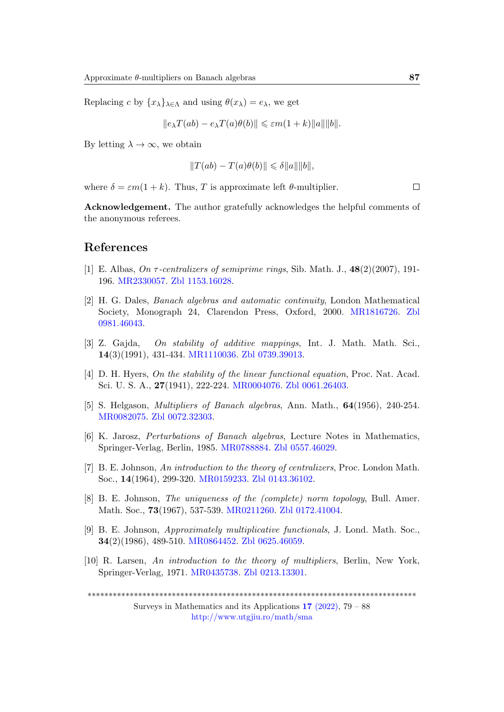Replacing c by  $\{x_{\lambda}\}_{{\lambda \in \Lambda}}$  and using  $\theta(x_{\lambda}) = e_{\lambda}$ , we get

$$
\|e_\lambda T(ab) - e_\lambda T(a)\theta(b)\| \leq \varepsilon m(1+k) \|a\| \|b\|.
$$

By letting  $\lambda \to \infty$ , we obtain

$$
||T(ab) - T(a)\theta(b)|| \leq \delta ||a|| ||b||,
$$

where  $\delta = \varepsilon m(1 + k)$ . Thus, T is approximate left  $\theta$ -multiplier.

 $\Box$ 

Acknowledgement. The author gratefully acknowledges the helpful comments of the anonymous referees.

#### References

- <span id="page-8-3"></span>[1] E. Albas, On  $\tau$ -centralizers of semiprime rings, Sib. Math. J., 48(2)(2007), 191-196. [MR2330057.](https://mathscinet.ams.org/mathscinet-getitem?mr=2330057) [Zbl 1153.16028.](https://zbmath.org/?q=an:1153.16028)
- <span id="page-8-9"></span>[2] H. G. Dales, Banach algebras and automatic continuity, London Mathematical Society, Monograph 24, Clarendon Press, Oxford, 2000. [MR1816726.](https://mathscinet.ams.org/mathscinet-getitem?mr=1816726) [Zbl](https://zbmath.org/?q=an:0981.46043) [0981.46043.](https://zbmath.org/?q=an:0981.46043)
- <span id="page-8-5"></span>[3] Z. Gajda, On stability of additive mappings, Int. J. Math. Math. Sci., 14(3)(1991), 431-434. [MR1110036.](https://mathscinet.ams.org/mathscinet-getitem?mr=1110036) [Zbl 0739.39013.](https://zbmath.org/?q=an:0739.39013)
- <span id="page-8-4"></span>[4] D. H. Hyers, On the stability of the linear functional equation, Proc. Nat. Acad. Sci. U. S. A., 27(1941), 222-224. [MR0004076.](https://mathscinet.ams.org/mathscinet-getitem?mr=0004076) [Zbl 0061.26403.](https://zbmath.org/?q=an:0061.26403)
- <span id="page-8-0"></span>[5] S. Helgason, Multipliers of Banach algebras, Ann. Math., 64(1956), 240-254. [MR0082075.](https://mathscinet.ams.org/mathscinet-getitem?mr=0082075) [Zbl 0072.32303.](https://zbmath.org/?q=an:0072.32303)
- <span id="page-8-6"></span>[6] K. Jarosz, Perturbations of Banach algebras, Lecture Notes in Mathematics, Springer-Verlag, Berlin, 1985. [MR0788884.](https://mathscinet.ams.org/mathscinet-getitem?mr=0788884) [Zbl 0557.46029.](https://zbmath.org/?q=an:0557.46029)
- <span id="page-8-1"></span>[7] B. E. Johnson, An introduction to the theory of centralizers, Proc. London Math. Soc., 14(1964), 299-320. [MR0159233.](https://mathscinet.ams.org/mathscinet-getitem?mr=0159233) [Zbl 0143.36102.](https://zbmath.org/?q=an:0143.36102)
- <span id="page-8-8"></span>[8] B. E. Johnson, The uniqueness of the (complete) norm topology, Bull. Amer. Math. Soc., 73(1967), 537-539. [MR0211260.](https://mathscinet.ams.org/mathscinet-getitem?mr=0211260) [Zbl 0172.41004.](https://zbmath.org/?q=an:0172.41004)
- <span id="page-8-7"></span>[9] B. E. Johnson, Approximately multiplicative functionals, J. Lond. Math. Soc., 34(2)(1986), 489-510. [MR0864452.](https://mathscinet.ams.org/mathscinet-getitem?mr=0864452) [Zbl 0625.46059.](https://zbmath.org/?q=an:0625.46059)
- <span id="page-8-2"></span>[10] R. Larsen, An introduction to the theory of multipliers, Berlin, New York, Springer-Verlag, 1971. [MR0435738.](https://mathscinet.ams.org/mathscinet-getitem?mr=0435738) [Zbl 0213.13301.](https://zbmath.org/?q=an:0213.13301)

\*\*\*\*\*\*\*\*\*\*\*\*\*\*\*\*\*\*\*\*\*\*\*\*\*\*\*\*\*\*\*\*\*\*\*\*\*\*\*\*\*\*\*\*\*\*\*\*\*\*\*\*\*\*\*\*\*\*\*\*\*\*\*\*\*\*\*\*\*\*\*\*\*\*\*\*\*\*